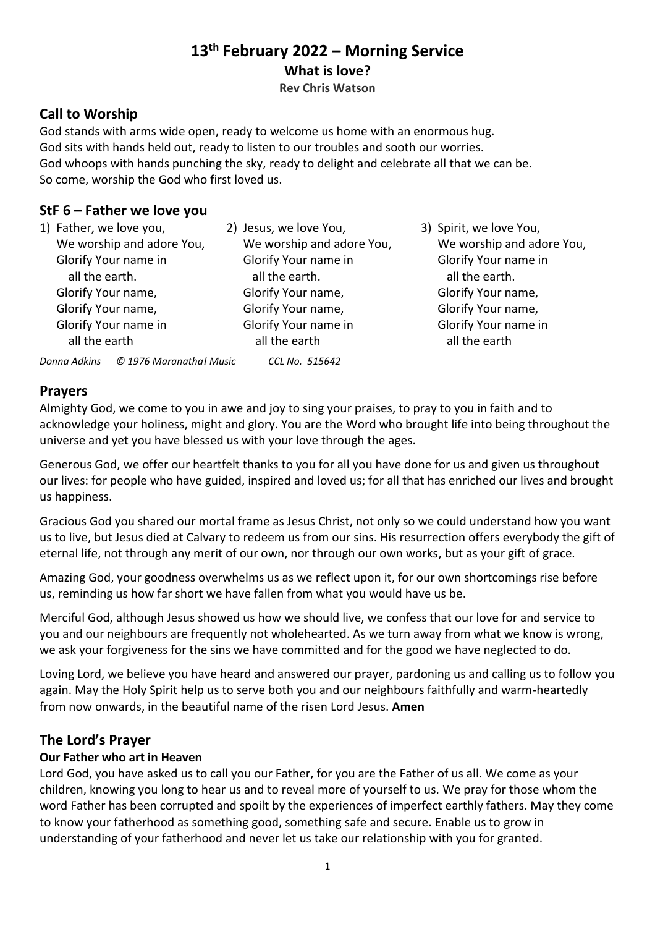# **13th February 2022 – Morning Service What is love?**

**Rev Chris Watson**

# **Call to Worship**

God stands with arms wide open, ready to welcome us home with an enormous hug. God sits with hands held out, ready to listen to our troubles and sooth our worries. God whoops with hands punching the sky, ready to delight and celebrate all that we can be. So come, worship the God who first loved us.

# **StF 6 – Father we love you**

|  | 1) Father, we love you,                 | 2) Jesus, we love You,    | 3) Spirit, we love You,   |
|--|-----------------------------------------|---------------------------|---------------------------|
|  | We worship and adore You,               | We worship and adore You, | We worship and adore You, |
|  | Glorify Your name in                    | Glorify Your name in      | Glorify Your name in      |
|  | all the earth.                          | all the earth.            | all the earth.            |
|  | Glorify Your name,                      | Glorify Your name,        | Glorify Your name,        |
|  | Glorify Your name,                      | Glorify Your name,        | Glorify Your name,        |
|  | Glorify Your name in                    | Glorify Your name in      | Glorify Your name in      |
|  | all the earth                           | all the earth             | all the earth             |
|  | © 1976 Maranatha! Music<br>Donna Adkins | CCL No. 515642            |                           |

# **Prayers**

Almighty God, we come to you in awe and joy to sing your praises, to pray to you in faith and to acknowledge your holiness, might and glory. You are the Word who brought life into being throughout the universe and yet you have blessed us with your love through the ages.

Generous God, we offer our heartfelt thanks to you for all you have done for us and given us throughout our lives: for people who have guided, inspired and loved us; for all that has enriched our lives and brought us happiness.

Gracious God you shared our mortal frame as Jesus Christ, not only so we could understand how you want us to live, but Jesus died at Calvary to redeem us from our sins. His resurrection offers everybody the gift of eternal life, not through any merit of our own, nor through our own works, but as your gift of grace.

Amazing God, your goodness overwhelms us as we reflect upon it, for our own shortcomings rise before us, reminding us how far short we have fallen from what you would have us be.

Merciful God, although Jesus showed us how we should live, we confess that our love for and service to you and our neighbours are frequently not wholehearted. As we turn away from what we know is wrong, we ask your forgiveness for the sins we have committed and for the good we have neglected to do.

Loving Lord, we believe you have heard and answered our prayer, pardoning us and calling us to follow you again. May the Holy Spirit help us to serve both you and our neighbours faithfully and warm-heartedly from now onwards, in the beautiful name of the risen Lord Jesus. **Amen**

## **The Lord's Prayer**

## **Our Father who art in Heaven**

Lord God, you have asked us to call you our Father, for you are the Father of us all. We come as your children, knowing you long to hear us and to reveal more of yourself to us. We pray for those whom the word Father has been corrupted and spoilt by the experiences of imperfect earthly fathers. May they come to know your fatherhood as something good, something safe and secure. Enable us to grow in understanding of your fatherhood and never let us take our relationship with you for granted.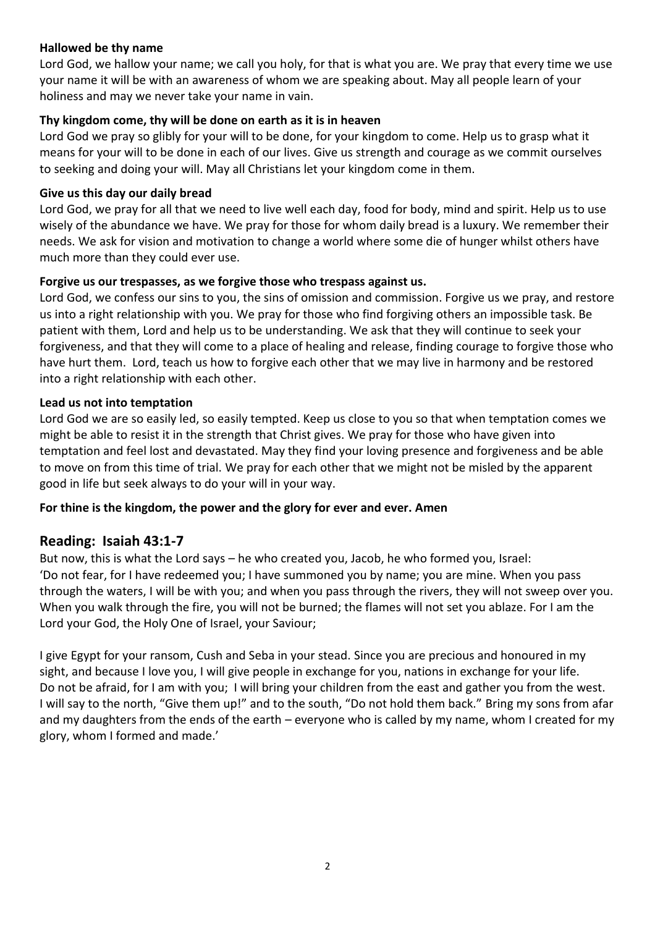### **Hallowed be thy name**

Lord God, we hallow your name; we call you holy, for that is what you are. We pray that every time we use your name it will be with an awareness of whom we are speaking about. May all people learn of your holiness and may we never take your name in vain.

### **Thy kingdom come, thy will be done on earth as it is in heaven**

Lord God we pray so glibly for your will to be done, for your kingdom to come. Help us to grasp what it means for your will to be done in each of our lives. Give us strength and courage as we commit ourselves to seeking and doing your will. May all Christians let your kingdom come in them.

#### **Give us this day our daily bread**

Lord God, we pray for all that we need to live well each day, food for body, mind and spirit. Help us to use wisely of the abundance we have. We pray for those for whom daily bread is a luxury. We remember their needs. We ask for vision and motivation to change a world where some die of hunger whilst others have much more than they could ever use.

#### **Forgive us our trespasses, as we forgive those who trespass against us.**

Lord God, we confess our sins to you, the sins of omission and commission. Forgive us we pray, and restore us into a right relationship with you. We pray for those who find forgiving others an impossible task. Be patient with them, Lord and help us to be understanding. We ask that they will continue to seek your forgiveness, and that they will come to a place of healing and release, finding courage to forgive those who have hurt them. Lord, teach us how to forgive each other that we may live in harmony and be restored into a right relationship with each other.

#### **Lead us not into temptation**

Lord God we are so easily led, so easily tempted. Keep us close to you so that when temptation comes we might be able to resist it in the strength that Christ gives. We pray for those who have given into temptation and feel lost and devastated. May they find your loving presence and forgiveness and be able to move on from this time of trial. We pray for each other that we might not be misled by the apparent good in life but seek always to do your will in your way.

#### **For thine is the kingdom, the power and the glory for ever and ever. Amen**

### **Reading: Isaiah 43:1-7**

But now, this is what the Lord says – he who created you, Jacob, he who formed you, Israel: 'Do not fear, for I have redeemed you; I have summoned you by name; you are mine. When you pass through the waters, I will be with you; and when you pass through the rivers, they will not sweep over you. When you walk through the fire, you will not be burned; the flames will not set you ablaze. For I am the Lord your God, the Holy One of Israel, your Saviour;

I give Egypt for your ransom, Cush and Seba in your stead. Since you are precious and honoured in my sight, and because I love you, I will give people in exchange for you, nations in exchange for your life. Do not be afraid, for I am with you; I will bring your children from the east and gather you from the west. I will say to the north, "Give them up!" and to the south, "Do not hold them back." Bring my sons from afar and my daughters from the ends of the earth – everyone who is called by my name, whom I created for my glory, whom I formed and made.'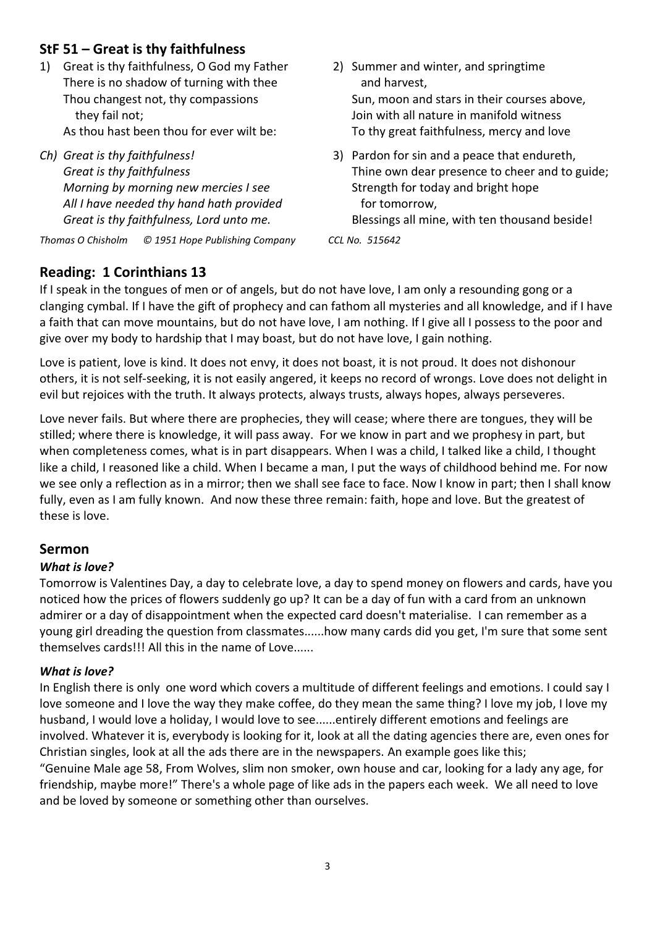# **StF 51 – Great is thy faithfulness**

- 1) Great is thy faithfulness, O God my Father There is no shadow of turning with thee Thou changest not, thy compassions they fail not; As thou hast been thou for ever wilt be:
- *Ch) Great is thy faithfulness! Great is thy faithfulness Morning by morning new mercies I see All I have needed thy hand hath provided Great is thy faithfulness, Lord unto me.*

*Thomas O Chisholm © 1951 Hope Publishing Company CCL No. 515642*

### 2) Summer and winter, and springtime and harvest, Sun, moon and stars in their courses above, Join with all nature in manifold witness To thy great faithfulness, mercy and love

3) Pardon for sin and a peace that endureth, Thine own dear presence to cheer and to guide; Strength for today and bright hope for tomorrow,

Blessings all mine, with ten thousand beside!

# **Reading: 1 Corinthians 13**

If I speak in the tongues of men or of angels, but do not have love, I am only a resounding gong or a clanging cymbal. If I have the gift of prophecy and can fathom all mysteries and all knowledge, and if I have a faith that can move mountains, but do not have love, I am nothing. If I give all I possess to the poor and give over my body to hardship that I may boast, but do not have love, I gain nothing.

Love is patient, love is kind. It does not envy, it does not boast, it is not proud. It does not dishonour others, it is not self-seeking, it is not easily angered, it keeps no record of wrongs. Love does not delight in evil but rejoices with the truth. It always protects, always trusts, always hopes, always perseveres.

Love never fails. But where there are prophecies, they will cease; where there are tongues, they will be stilled; where there is knowledge, it will pass away. For we know in part and we prophesy in part, but when completeness comes, what is in part disappears. When I was a child, I talked like a child, I thought like a child, I reasoned like a child. When I became a man, I put the ways of childhood behind me. For now we see only a reflection as in a mirror; then we shall see face to face. Now I know in part; then I shall know fully, even as I am fully known. And now these three remain: faith, hope and love. But the greatest of these is love.

# **Sermon**

### *What is love?*

Tomorrow is Valentines Day, a day to celebrate love, a day to spend money on flowers and cards, have you noticed how the prices of flowers suddenly go up? It can be a day of fun with a card from an unknown admirer or a day of disappointment when the expected card doesn't materialise. I can remember as a young girl dreading the question from classmates......how many cards did you get, I'm sure that some sent themselves cards!!! All this in the name of Love......

### *What is love?*

In English there is only one word which covers a multitude of different feelings and emotions. I could say I love someone and I love the way they make coffee, do they mean the same thing? I love my job, I love my husband, I would love a holiday, I would love to see......entirely different emotions and feelings are involved. Whatever it is, everybody is looking for it, look at all the dating agencies there are, even ones for Christian singles, look at all the ads there are in the newspapers. An example goes like this; "Genuine Male age 58, From Wolves, slim non smoker, own house and car, looking for a lady any age, for friendship, maybe more!" There's a whole page of like ads in the papers each week. We all need to love and be loved by someone or something other than ourselves.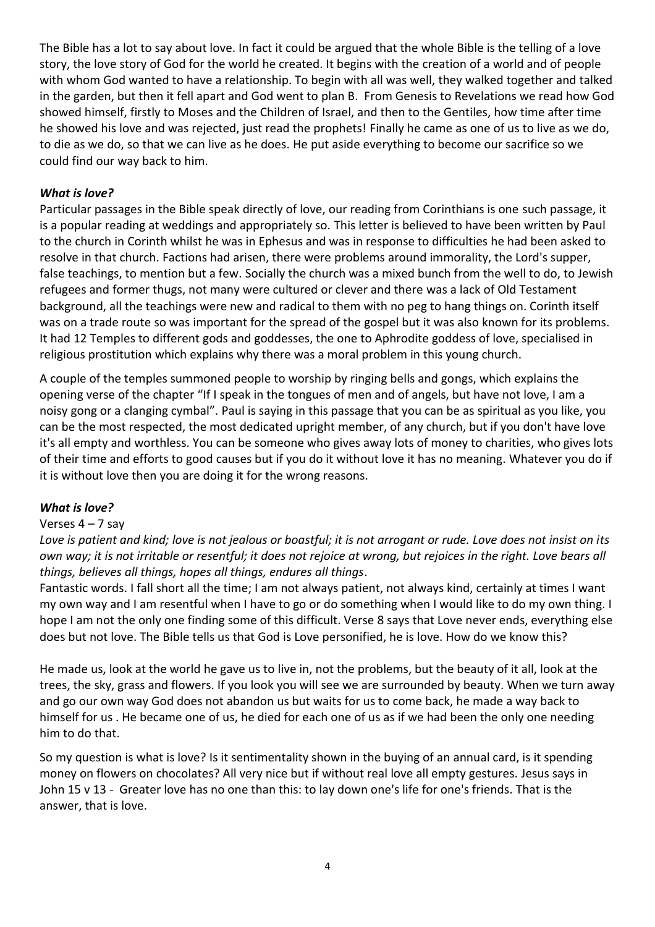The Bible has a lot to say about love. In fact it could be argued that the whole Bible is the telling of a love story, the love story of God for the world he created. It begins with the creation of a world and of people with whom God wanted to have a relationship. To begin with all was well, they walked together and talked in the garden, but then it fell apart and God went to plan B. From Genesis to Revelations we read how God showed himself, firstly to Moses and the Children of Israel, and then to the Gentiles, how time after time he showed his love and was rejected, just read the prophets! Finally he came as one of us to live as we do, to die as we do, so that we can live as he does. He put aside everything to become our sacrifice so we could find our way back to him.

### *What is love?*

Particular passages in the Bible speak directly of love, our reading from Corinthians is one such passage, it is a popular reading at weddings and appropriately so. This letter is believed to have been written by Paul to the church in Corinth whilst he was in Ephesus and was in response to difficulties he had been asked to resolve in that church. Factions had arisen, there were problems around immorality, the Lord's supper, false teachings, to mention but a few. Socially the church was a mixed bunch from the well to do, to Jewish refugees and former thugs, not many were cultured or clever and there was a lack of Old Testament background, all the teachings were new and radical to them with no peg to hang things on. Corinth itself was on a trade route so was important for the spread of the gospel but it was also known for its problems. It had 12 Temples to different gods and goddesses, the one to Aphrodite goddess of love, specialised in religious prostitution which explains why there was a moral problem in this young church.

A couple of the temples summoned people to worship by ringing bells and gongs, which explains the opening verse of the chapter "If I speak in the tongues of men and of angels, but have not love, I am a noisy gong or a clanging cymbal". Paul is saying in this passage that you can be as spiritual as you like, you can be the most respected, the most dedicated upright member, of any church, but if you don't have love it's all empty and worthless. You can be someone who gives away lots of money to charities, who gives lots of their time and efforts to good causes but if you do it without love it has no meaning. Whatever you do if it is without love then you are doing it for the wrong reasons.

#### *What is love?*

#### Verses  $4 - 7$  say

Love is patient and kind; love is not jealous or boastful; it is not arrogant or rude. Love does not insist on its *own way; it is not irritable or resentful; it does not rejoice at wrong, but rejoices in the right. Love bears all things, believes all things, hopes all things, endures all things*.

Fantastic words. I fall short all the time; I am not always patient, not always kind, certainly at times I want my own way and I am resentful when I have to go or do something when I would like to do my own thing. I hope I am not the only one finding some of this difficult. Verse 8 says that Love never ends, everything else does but not love. The Bible tells us that God is Love personified, he is love. How do we know this?

He made us, look at the world he gave us to live in, not the problems, but the beauty of it all, look at the trees, the sky, grass and flowers. If you look you will see we are surrounded by beauty. When we turn away and go our own way God does not abandon us but waits for us to come back, he made a way back to himself for us . He became one of us, he died for each one of us as if we had been the only one needing him to do that.

So my question is what is love? Is it sentimentality shown in the buying of an annual card, is it spending money on flowers on chocolates? All very nice but if without real love all empty gestures. Jesus says in John 15 v 13 - Greater love has no one than this: to lay down one's life for one's friends. That is the answer, that is love.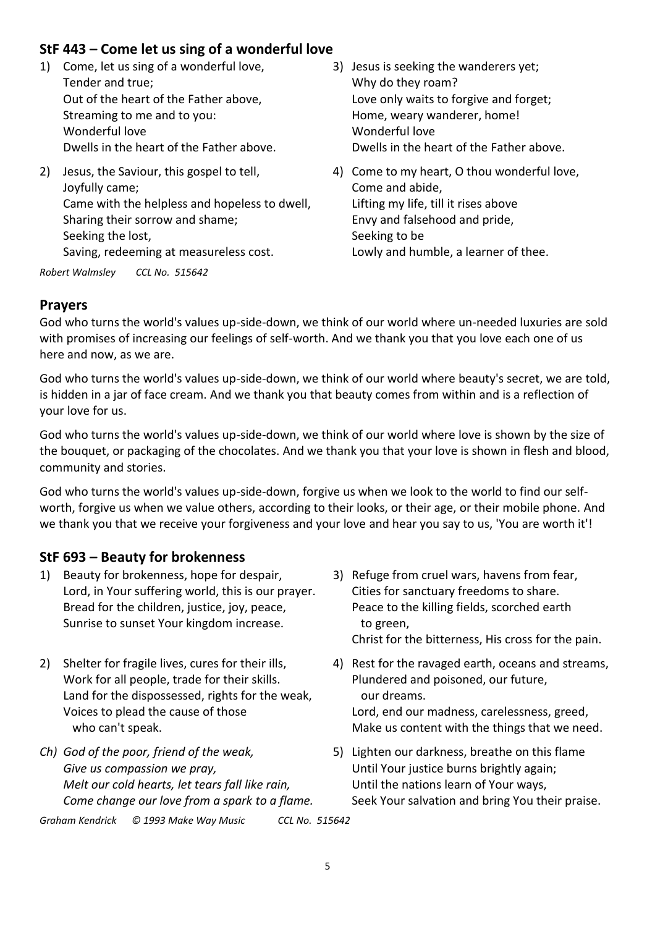# **StF 443 – Come let us sing of a wonderful love**

- 1) Come, let us sing of a wonderful love, Tender and true; Out of the heart of the Father above, Streaming to me and to you: Wonderful love Dwells in the heart of the Father above.
- 2) Jesus, the Saviour, this gospel to tell, Joyfully came; Came with the helpless and hopeless to dwell, Sharing their sorrow and shame; Seeking the lost, Saving, redeeming at measureless cost.

*Robert Walmsley CCL No. 515642*

- 3) Jesus is seeking the wanderers yet; Why do they roam? Love only waits to forgive and forget; Home, weary wanderer, home! Wonderful love Dwells in the heart of the Father above.
- 4) Come to my heart, O thou wonderful love, Come and abide, Lifting my life, till it rises above Envy and falsehood and pride, Seeking to be Lowly and humble, a learner of thee.

## **Prayers**

God who turns the world's values up-side-down, we think of our world where un-needed luxuries are sold with promises of increasing our feelings of self-worth. And we thank you that you love each one of us here and now, as we are.

God who turns the world's values up-side-down, we think of our world where beauty's secret, we are told, is hidden in a jar of face cream. And we thank you that beauty comes from within and is a reflection of your love for us.

God who turns the world's values up-side-down, we think of our world where love is shown by the size of the bouquet, or packaging of the chocolates. And we thank you that your love is shown in flesh and blood, community and stories.

God who turns the world's values up-side-down, forgive us when we look to the world to find our selfworth, forgive us when we value others, according to their looks, or their age, or their mobile phone. And we thank you that we receive your forgiveness and your love and hear you say to us, 'You are worth it'!

## **StF 693 – Beauty for brokenness**

- 1) Beauty for brokenness, hope for despair, Lord, in Your suffering world, this is our prayer. Bread for the children, justice, joy, peace, Sunrise to sunset Your kingdom increase.
- 2) Shelter for fragile lives, cures for their ills, Work for all people, trade for their skills. Land for the dispossessed, rights for the weak, Voices to plead the cause of those who can't speak.
- *Ch) God of the poor, friend of the weak, Give us compassion we pray, Melt our cold hearts, let tears fall like rain, Come change our love from a spark to a flame.*
- 3) Refuge from cruel wars, havens from fear, Cities for sanctuary freedoms to share. Peace to the killing fields, scorched earth to green, Christ for the bitterness, His cross for the pain.
- 4) Rest for the ravaged earth, oceans and streams, Plundered and poisoned, our future, our dreams. Lord, end our madness, carelessness, greed, Make us content with the things that we need.
- 5) Lighten our darkness, breathe on this flame Until Your justice burns brightly again; Until the nations learn of Your ways, Seek Your salvation and bring You their praise.

*Graham Kendrick © 1993 Make Way Music CCL No. 515642*